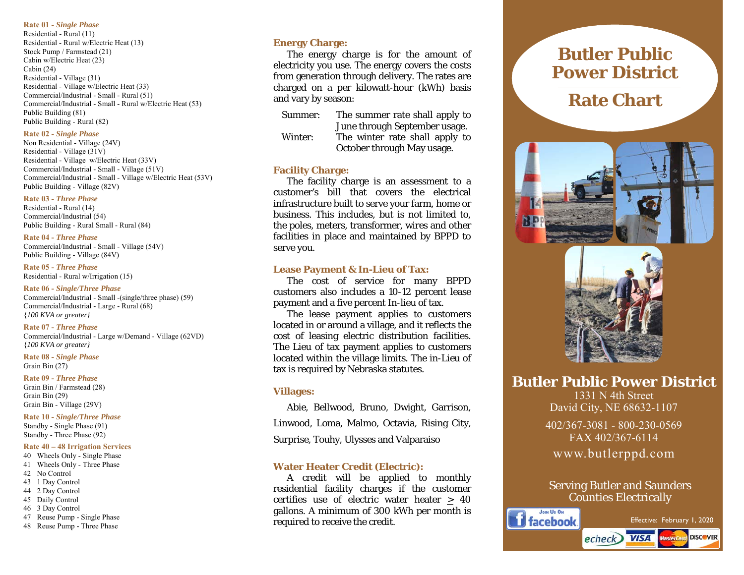#### **Rate 01 -** *Single Phase*

Residential - Rural (11) Residential - Rural w/Electric Heat (13) Stock Pump / Farmstead (21) Cabin w/Electric Heat (23) Cabin (24) Residential - Village (31) Residential - Village w/Electric Heat (33) Commercial/Industrial - Small - Rural (51) Commercial/Industrial - Small - Rural w/Electric Heat (53) Public Building (81) Public Building - Rural (82)

#### **Rate 02 -** *Single Phase*

Non Residential - Village (24V) Residential - Village (31V) Residential - Village w/Electric Heat (33V) Commercial/Industrial - Small - Village (51V) Commercial/Industrial - Small - Village w/Electric Heat (53V) Public Building - Village (82V)

#### **Rate 03 -** *Three Phase*

Residential - Rural (14) Commercial/Industrial (54) Public Building - Rural Small - Rural (84)

#### **Rate 04 -** *Three Phase*

Commercial/Industrial - Small - Village (54V) Public Building - Village (84V)

**Rate 05 -** *Three Phase*  Residential - Rural w/Irrigation (15)

**Rate 06 -** *Single/Three Phase* Commercial/Industrial - Small -(single/three phase) (59) Commercial/Industrial - Large - Rural (68) {*100 KVA or greater}*

### **Rate 07 -** *Three Phase*

Commercial/Industrial - Large w/Demand - Village (62VD) {*100 KVA or greater}*

**Rate 08 -** *Single Phase*  Grain Bin (27)

**Rate 09 -** *Three Phase* Grain Bin / Farmstead (28) Grain Bin (29) Grain Bin - Village (29V)

**Rate 10 -** *Single/Three Phase* Standby - Single Phase (91) Standby - Three Phase (92)

#### **Rate 40 – 48 Irrigation Services**

- 40 Wheels Only Single Phase 41 Wheels Only - Three Phase
- 42 No Control
- 43 1 Day Control
- 44 2 Day Control
- 45 Daily Control
- 46 3 Day Control
- 47 Reuse Pump Single Phase
- 48 Reuse Pump Three Phase

### **Energy Charge:**

 The energy charge is for the amount of electricity you use. The energy covers the costs from generation through delivery. The rates are charged on a per kilowatt-hour (kWh) basis and vary by season:

- Summer: The summer rate shall apply to June through September usage. Winter: The winter rate shall apply to
	- October through May usage.

### **Facility Charge:**

The facility charge is an assessment to a customer's bill that covers the electrical infrastructure built to serve your farm, home or business. This includes, but is not limited to, the poles, meters, transformer, wires and other facilities in place and maintained by BPPD to serve you.

#### **Lease Payment & In-Lieu of Tax:**

The cost of service for many BPPD customers also includes a 10-12 percent lease payment and a five percent In-lieu of tax.

 The lease payment applies to customers located in or around a village, and it reflects the cost of leasing electric distribution facilities. The Lieu of tax payment applies to customers located within the village limits. The in-Lieu of tax is required by Nebraska statutes.

#### **Villages:**

 Abie, Bellwood, Bruno, Dwight, Garrison, Linwood, Loma, Malmo, Octavia, Rising City, Surprise, Touhy, Ulysses and Valparaiso

## **Water Heater Credit (Electric):**

 A credit will be applied to monthly residential facility charges if the customer certifies use of electric water heater  $\geq 40$ gallons. A minimum of 300 kWh per month is required to receive the credit.

# **Butler Public Power District**

# **Rate Chart**





**Butler Public Power District** 

1331 N 4th Street David City, NE 68632-1107

402/367-3081 - 800-230-0569 FAX 402/367-6114 www.butlerppd.com

# Serving Butler and Saunders Counties Electrically

echeck **VISA** Mastercard

JOIN US ON **il** facebook



**DISCOVER**